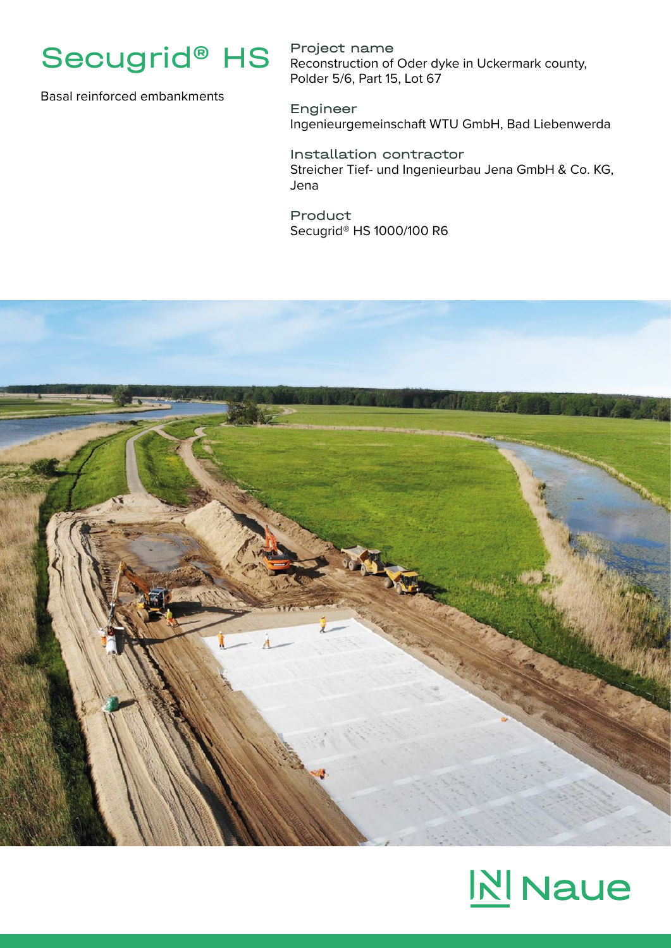

Basal reinforced embankments

Project name Reconstruction of Oder dyke in Uckermark county, Polder 5/6, Part 15, Lot 67

Engineer Ingenieurgemeinschaft WTU GmbH, Bad Liebenwerda

Installation contractor Streicher Tief- und Ingenieurbau Jena GmbH & Co. KG, Jena

Product Secugrid® HS 1000/100 R6